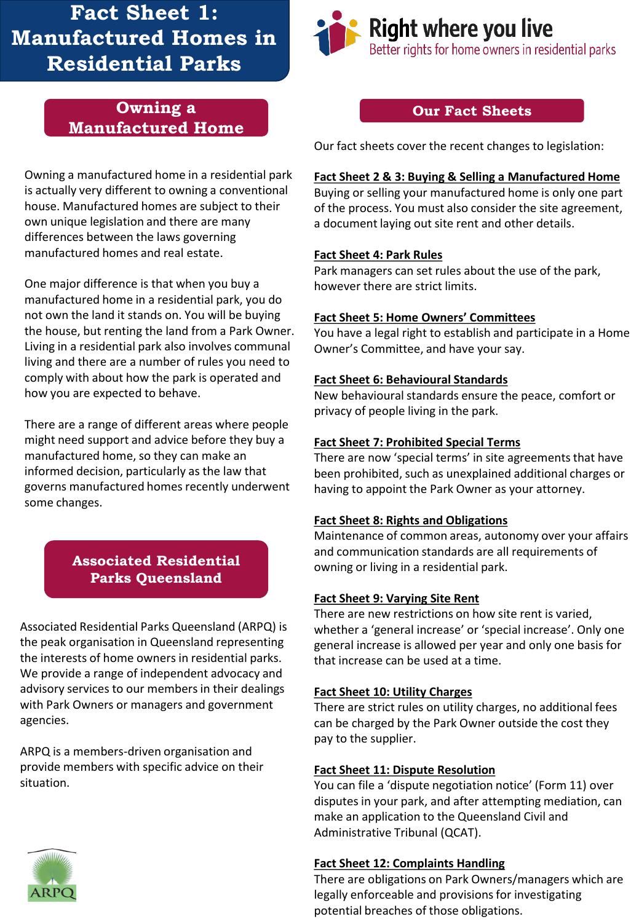# **Fact Sheet 1: Manufactured Homes in Residential Parks**

## **Owning a Manufactured Home**

Owning a manufactured home in a residential park is actually very different to owning a conventional house. Manufactured homes are subject to their own unique legislation and there are many differences between the laws governing manufactured homes and real estate.

One major difference is that when you buy a manufactured home in a residential park, you do not own the land it stands on. You will be buying the house, but renting the land from a Park Owner. Living in a residential park also involves communal living and there are a number of rules you need to comply with about how the park is operated and how you are expected to behave.

There are a range of different areas where people might need support and advice before they buy a manufactured home, so they can make an informed decision, particularly as the law that governs manufactured homes recently underwent some changes.

## **Associated Residential Parks Queensland**

Associated Residential Parks Queensland (ARPQ) is the peak organisation in Queensland representing the interests of home owners in residential parks. We provide a range of independent advocacy and advisory services to our members in their dealings with Park Owners or managers and government agencies.

ARPQ is a members-driven organisation and provide members with specific advice on their situation.



#### **Our Fact Sheets**

Our fact sheets cover the recent changes to legislation:

#### **Fact Sheet 2 & 3: Buying & Selling a Manufactured Home**

Buying or selling your manufactured home is only one part of the process. You must also consider the site agreement, a document laying out site rent and other details.

#### **Fact Sheet 4: Park Rules**

Park managers can set rules about the use of the park, however there are strict limits.

#### **Fact Sheet 5: Home Owners' Committees**

You have a legal right to establish and participate in a Home Owner's Committee, and have your say.

#### **Fact Sheet 6: Behavioural Standards**

New behavioural standards ensure the peace, comfort or privacy of people living in the park.

#### **Fact Sheet 7: Prohibited Special Terms**

There are now 'special terms' in site agreements that have been prohibited, such as unexplained additional charges or having to appoint the Park Owner as your attorney.

#### **Fact Sheet 8: Rights and Obligations**

Maintenance of common areas, autonomy over your affairs and communication standards are all requirements of owning or living in a residential park.

#### **Fact Sheet 9: Varying Site Rent**

There are new restrictions on how site rent is varied, whether a 'general increase' or 'special increase'. Only one general increase is allowed per year and only one basis for that increase can be used at a time.

#### **Fact Sheet 10: Utility Charges**

There are strict rules on utility charges, no additional fees can be charged by the Park Owner outside the cost they pay to the supplier.

#### **Fact Sheet 11: Dispute Resolution**

You can file a 'dispute negotiation notice' (Form 11) over disputes in your park, and after attempting mediation, can make an application to the Queensland Civil and Administrative Tribunal (QCAT).

#### **Fact Sheet 12: Complaints Handling**

There are obligations on Park Owners/managers which are legally enforceable and provisions for investigating potential breaches of those obligations.